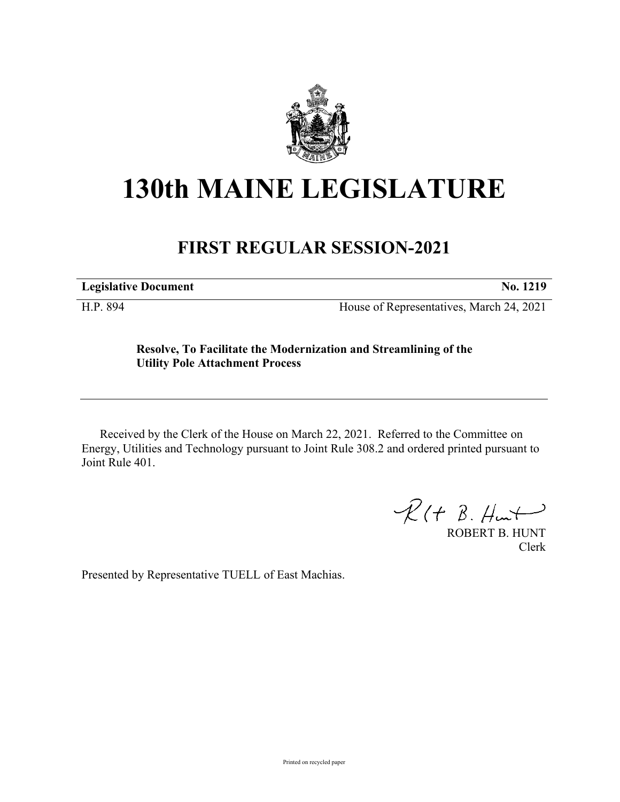

## **130th MAINE LEGISLATURE**

## **FIRST REGULAR SESSION-2021**

**Legislative Document No. 1219**

H.P. 894 House of Representatives, March 24, 2021

## **Resolve, To Facilitate the Modernization and Streamlining of the Utility Pole Attachment Process**

Received by the Clerk of the House on March 22, 2021. Referred to the Committee on Energy, Utilities and Technology pursuant to Joint Rule 308.2 and ordered printed pursuant to Joint Rule 401.

 $R(H B. H<sub>un</sub>+)$ 

ROBERT B. HUNT Clerk

Presented by Representative TUELL of East Machias.